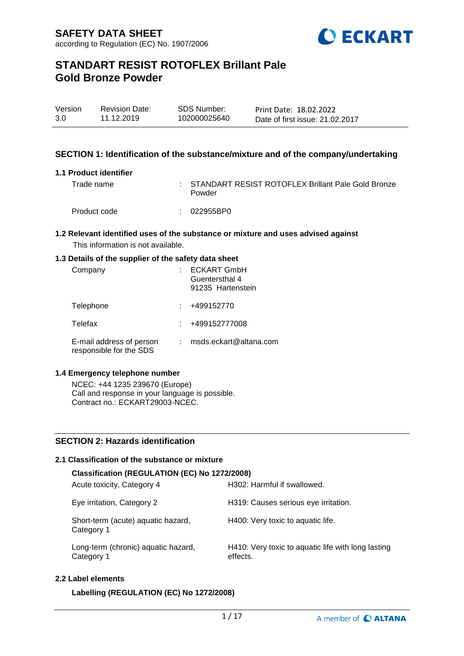

| Version | <b>Revision Date:</b> | <b>SDS Number:</b> | Print Date: 18.02.2022          |
|---------|-----------------------|--------------------|---------------------------------|
| 3.0     | 11.12.2019            | 102000025640       | Date of first issue: 21.02.2017 |

### **SECTION 1: Identification of the substance/mixture and of the company/undertaking**

#### **1.1 Product identifier**

| Trade name   | : STANDART RESIST ROTOFLEX Brillant Pale Gold Bronze<br>Powder |
|--------------|----------------------------------------------------------------|
| Product code | :: 022955BP0                                                   |

#### **1.2 Relevant identified uses of the substance or mixture and uses advised against** This information is not available.

### **1.3 Details of the supplier of the safety data sheet**

| Company                                             | <b>ECKART GmbH</b><br>Guentersthal 4<br>91235 Hartenstein |
|-----------------------------------------------------|-----------------------------------------------------------|
| Telephone                                           | +499152770                                                |
| Telefax                                             | +499152777008                                             |
| E-mail address of person<br>responsible for the SDS | msds.eckart@altana.com                                    |

### **1.4 Emergency telephone number**

NCEC: +44 1235 239670 (Europe) Call and response in your language is possible. Contract no.: ECKART29003-NCEC.

## **SECTION 2: Hazards identification**

### **2.1 Classification of the substance or mixture**

| Classification (REGULATION (EC) No 1272/2008)     |                                                                |  |  |  |  |  |  |
|---------------------------------------------------|----------------------------------------------------------------|--|--|--|--|--|--|
| Acute toxicity, Category 4                        | H302: Harmful if swallowed.                                    |  |  |  |  |  |  |
| Eye irritation, Category 2                        | H319: Causes serious eye irritation.                           |  |  |  |  |  |  |
| Short-term (acute) aquatic hazard,<br>Category 1  | H400: Very toxic to aquatic life.                              |  |  |  |  |  |  |
| Long-term (chronic) aquatic hazard,<br>Category 1 | H410: Very toxic to aquatic life with long lasting<br>effects. |  |  |  |  |  |  |

#### **2.2 Label elements**

**Labelling (REGULATION (EC) No 1272/2008)**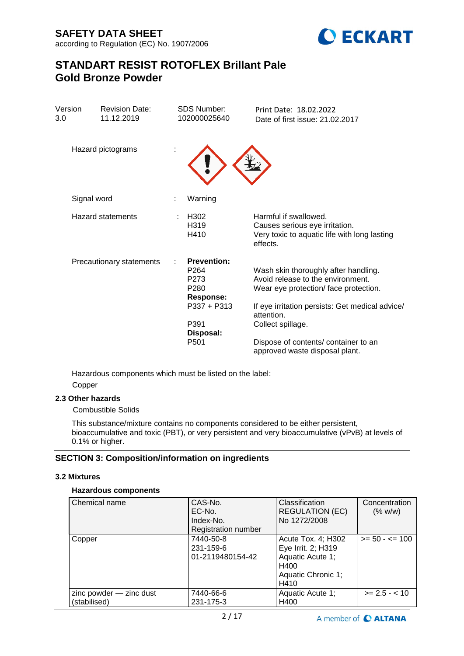

| Version<br>3.0 | <b>Revision Date:</b><br>11.12.2019 | <b>SDS Number:</b><br>102000025640                                                                                                             | Print Date: 18.02.2022<br>Date of first issue: 21.02.2017                                                                                                                                                                                                                         |
|----------------|-------------------------------------|------------------------------------------------------------------------------------------------------------------------------------------------|-----------------------------------------------------------------------------------------------------------------------------------------------------------------------------------------------------------------------------------------------------------------------------------|
|                | Hazard pictograms                   |                                                                                                                                                |                                                                                                                                                                                                                                                                                   |
|                | Signal word                         | Warning                                                                                                                                        |                                                                                                                                                                                                                                                                                   |
|                | <b>Hazard statements</b>            | H <sub>302</sub><br>H <sub>319</sub><br>H410                                                                                                   | Harmful if swallowed.<br>Causes serious eye irritation.<br>Very toxic to aquatic life with long lasting<br>effects.                                                                                                                                                               |
|                | Precautionary statements            | <b>Prevention:</b><br>P <sub>264</sub><br>P <sub>273</sub><br>P280<br><b>Response:</b><br>P337 + P313<br>P391<br>Disposal:<br>P <sub>501</sub> | Wash skin thoroughly after handling.<br>Avoid release to the environment.<br>Wear eye protection/face protection.<br>If eye irritation persists: Get medical advice/<br>attention.<br>Collect spillage.<br>Dispose of contents/ container to an<br>approved waste disposal plant. |

Hazardous components which must be listed on the label: Copper

## **2.3 Other hazards**

Combustible Solids

This substance/mixture contains no components considered to be either persistent, bioaccumulative and toxic (PBT), or very persistent and very bioaccumulative (vPvB) at levels of 0.1% or higher.

## **SECTION 3: Composition/information on ingredients**

## **3.2 Mixtures**

## **Hazardous components**

| Chemical name                           | CAS-No.<br>EC-No.<br>Index-No.<br><b>Registration number</b> | Classification<br><b>REGULATION (EC)</b><br>No 1272/2008                                           | Concentration<br>(% w/w) |
|-----------------------------------------|--------------------------------------------------------------|----------------------------------------------------------------------------------------------------|--------------------------|
| Copper                                  | 7440-50-8<br>231-159-6<br>01-2119480154-42                   | Acute Tox. 4; H302<br>Eye Irrit. 2; H319<br>Aquatic Acute 1;<br>H400<br>Aquatic Chronic 1;<br>H410 | $>= 50 - 5 = 100$        |
| zinc powder - zinc dust<br>(stabilised) | 7440-66-6<br>231-175-3                                       | Aquatic Acute 1;<br>H400                                                                           | $>= 2.5 - < 10$          |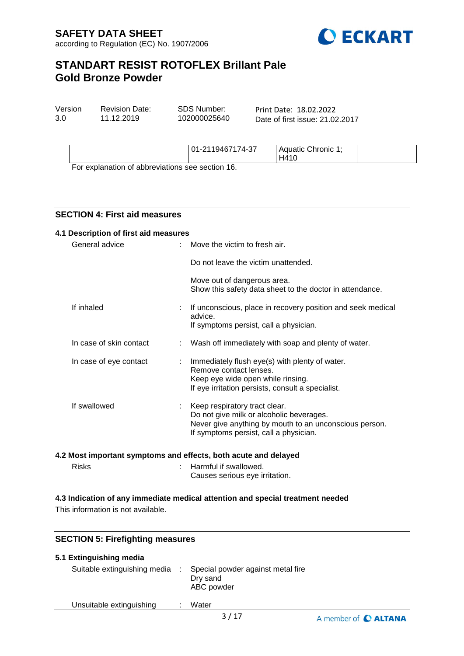

| Version<br>3.0 | SDS Number:<br><b>Revision Date:</b><br>11.12.2019<br>102000025640 |                  | Print Date: 18.02.2022<br>Date of first issue: 21.02.2017 |                            |  |  |
|----------------|--------------------------------------------------------------------|------------------|-----------------------------------------------------------|----------------------------|--|--|
|                |                                                                    | 01-2119467174-37 |                                                           | Aquatic Chronic 1;<br>H410 |  |  |
|                | $\Gamma$ ax avalanation of abbraviations association $AC$          |                  |                                                           |                            |  |  |

For explanation of abbreviations see section 16.

## **SECTION 4: First aid measures**

| 4.1 Description of first aid measures |                         |                            |                                                                                                                                                                                 |  |  |  |  |
|---------------------------------------|-------------------------|----------------------------|---------------------------------------------------------------------------------------------------------------------------------------------------------------------------------|--|--|--|--|
| General advice                        |                         |                            | $\therefore$ Move the victim to fresh air.                                                                                                                                      |  |  |  |  |
|                                       |                         |                            | Do not leave the victim unattended.                                                                                                                                             |  |  |  |  |
|                                       |                         |                            | Move out of dangerous area.<br>Show this safety data sheet to the doctor in attendance.                                                                                         |  |  |  |  |
|                                       | If inhaled              |                            | : If unconscious, place in recovery position and seek medical<br>advice.<br>If symptoms persist, call a physician.                                                              |  |  |  |  |
|                                       | In case of skin contact |                            | Wash off immediately with soap and plenty of water.                                                                                                                             |  |  |  |  |
|                                       | In case of eye contact  | $\mathcal{L}^{\text{max}}$ | Immediately flush eye(s) with plenty of water.<br>Remove contact lenses.<br>Keep eye wide open while rinsing.<br>If eye irritation persists, consult a specialist.              |  |  |  |  |
|                                       | If swallowed            |                            | : Keep respiratory tract clear.<br>Do not give milk or alcoholic beverages.<br>Never give anything by mouth to an unconscious person.<br>If symptoms persist, call a physician. |  |  |  |  |

#### **4.2 Most important symptoms and effects, both acute and delayed**

| <b>Risks</b> | : Harmful if swallowed.        |
|--------------|--------------------------------|
|              | Causes serious eye irritation. |

#### **4.3 Indication of any immediate medical attention and special treatment needed**

This information is not available.

## **SECTION 5: Firefighting measures**

| 5.1 Extinguishing media      |                                                             |
|------------------------------|-------------------------------------------------------------|
| Suitable extinguishing media | Special powder against metal fire<br>Dry sand<br>ABC powder |
| Unsuitable extinguishing     | Water                                                       |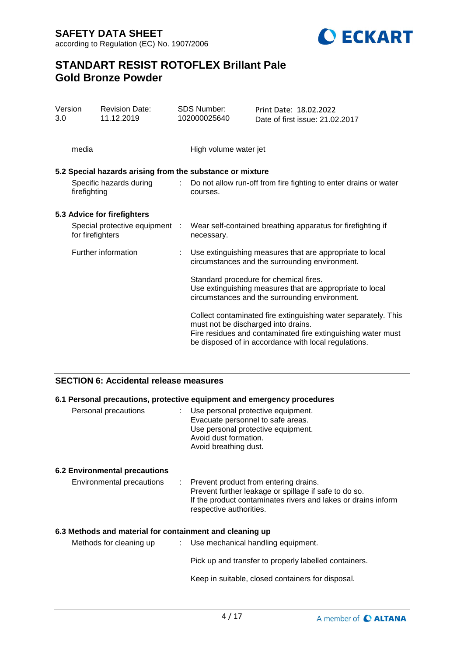

| Version<br>3.0 |                     | <b>Revision Date:</b><br>11.12.2019                                                                                                                  | <b>SDS Number:</b><br>102000025640                                                                         | Print Date: 18.02.2022<br>Date of first issue: 21.02.2017                                                                                                                              |  |
|----------------|---------------------|------------------------------------------------------------------------------------------------------------------------------------------------------|------------------------------------------------------------------------------------------------------------|----------------------------------------------------------------------------------------------------------------------------------------------------------------------------------------|--|
|                | media               |                                                                                                                                                      | High volume water jet                                                                                      |                                                                                                                                                                                        |  |
|                |                     | 5.2 Special hazards arising from the substance or mixture                                                                                            |                                                                                                            |                                                                                                                                                                                        |  |
|                | firefighting        | Specific hazards during                                                                                                                              | courses.                                                                                                   | : Do not allow run-off from fire fighting to enter drains or water                                                                                                                     |  |
|                |                     | 5.3 Advice for firefighters                                                                                                                          |                                                                                                            |                                                                                                                                                                                        |  |
|                | for firefighters    | Special protective equipment :                                                                                                                       | necessary.                                                                                                 | Wear self-contained breathing apparatus for firefighting if                                                                                                                            |  |
|                | Further information |                                                                                                                                                      | Use extinguishing measures that are appropriate to local<br>circumstances and the surrounding environment. |                                                                                                                                                                                        |  |
|                |                     | Standard procedure for chemical fires.<br>Use extinguishing measures that are appropriate to local<br>circumstances and the surrounding environment. |                                                                                                            |                                                                                                                                                                                        |  |
|                |                     |                                                                                                                                                      | must not be discharged into drains.                                                                        | Collect contaminated fire extinguishing water separately. This<br>Fire residues and contaminated fire extinguishing water must<br>be disposed of in accordance with local regulations. |  |

## **SECTION 6: Accidental release measures**

## **6.1 Personal precautions, protective equipment and emergency procedures**

| Personal precautions |  | : Use personal protective equipment.<br>Evacuate personnel to safe areas.<br>Use personal protective equipment.<br>Avoid dust formation.<br>Avoid breathing dust. |
|----------------------|--|-------------------------------------------------------------------------------------------------------------------------------------------------------------------|
|                      |  |                                                                                                                                                                   |

## **6.2 Environmental precautions**

| Environmental precautions |  | : Prevent product from entering drains.<br>Prevent further leakage or spillage if safe to do so.<br>If the product contaminates rivers and lakes or drains inform<br>respective authorities. |
|---------------------------|--|----------------------------------------------------------------------------------------------------------------------------------------------------------------------------------------------|
|---------------------------|--|----------------------------------------------------------------------------------------------------------------------------------------------------------------------------------------------|

#### **6.3 Methods and material for containment and cleaning up**

| Methods for cleaning up | : Use mechanical handling equipment.                  |
|-------------------------|-------------------------------------------------------|
|                         | Pick up and transfer to properly labelled containers. |

Keep in suitable, closed containers for disposal.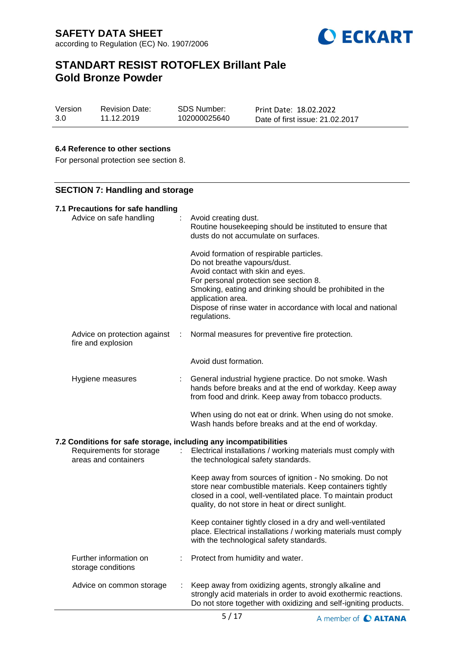

| Version | <b>Revision Date:</b> | SDS Number:  | Print Date: 18.02.2022          |
|---------|-----------------------|--------------|---------------------------------|
| 3.0     | 11.12.2019            | 102000025640 | Date of first issue: 21.02.2017 |

### **6.4 Reference to other sections**

For personal protection see section 8.

## **SECTION 7: Handling and storage**

| 7.1 Precautions for safe handling<br>Advice on safe handling     |    | Avoid creating dust.<br>Routine housekeeping should be instituted to ensure that<br>dusts do not accumulate on surfaces.<br>Avoid formation of respirable particles.<br>Do not breathe vapours/dust.<br>Avoid contact with skin and eyes.<br>For personal protection see section 8.<br>Smoking, eating and drinking should be prohibited in the<br>application area.<br>Dispose of rinse water in accordance with local and national<br>regulations. |
|------------------------------------------------------------------|----|------------------------------------------------------------------------------------------------------------------------------------------------------------------------------------------------------------------------------------------------------------------------------------------------------------------------------------------------------------------------------------------------------------------------------------------------------|
| Advice on protection against<br>÷<br>fire and explosion          |    | Normal measures for preventive fire protection.                                                                                                                                                                                                                                                                                                                                                                                                      |
|                                                                  |    | Avoid dust formation.                                                                                                                                                                                                                                                                                                                                                                                                                                |
| Hygiene measures                                                 |    | : General industrial hygiene practice. Do not smoke. Wash<br>hands before breaks and at the end of workday. Keep away<br>from food and drink. Keep away from tobacco products.                                                                                                                                                                                                                                                                       |
|                                                                  |    | When using do not eat or drink. When using do not smoke.<br>Wash hands before breaks and at the end of workday.                                                                                                                                                                                                                                                                                                                                      |
| 7.2 Conditions for safe storage, including any incompatibilities |    |                                                                                                                                                                                                                                                                                                                                                                                                                                                      |
| Requirements for storage<br>areas and containers                 | t. | Electrical installations / working materials must comply with<br>the technological safety standards.                                                                                                                                                                                                                                                                                                                                                 |
|                                                                  |    | Keep away from sources of ignition - No smoking. Do not<br>store near combustible materials. Keep containers tightly<br>closed in a cool, well-ventilated place. To maintain product<br>quality, do not store in heat or direct sunlight.                                                                                                                                                                                                            |
|                                                                  |    | Keep container tightly closed in a dry and well-ventilated<br>place. Electrical installations / working materials must comply<br>with the technological safety standards.                                                                                                                                                                                                                                                                            |
| Further information on<br>storage conditions                     |    | Protect from humidity and water.                                                                                                                                                                                                                                                                                                                                                                                                                     |
| Advice on common storage                                         |    | Keep away from oxidizing agents, strongly alkaline and<br>strongly acid materials in order to avoid exothermic reactions.<br>Do not store together with oxidizing and self-igniting products.                                                                                                                                                                                                                                                        |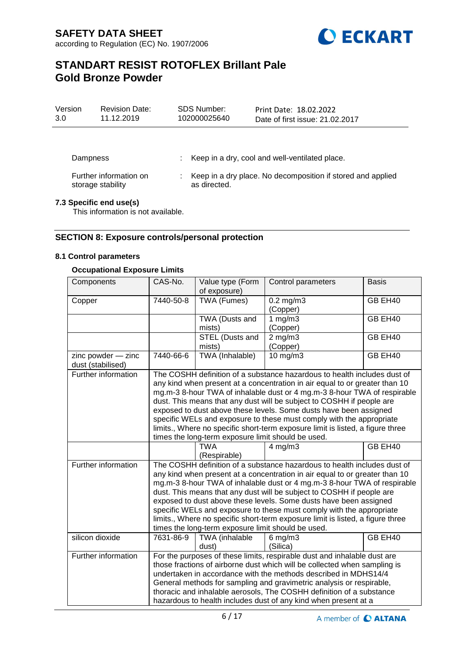

| Version<br>3.0 | <b>Revision Date:</b><br>11.12.2019         | SDS Number:<br>102000025640 | Print Date: 18.02.2022<br>Date of first issue: 21.02.2017     |
|----------------|---------------------------------------------|-----------------------------|---------------------------------------------------------------|
|                |                                             |                             |                                                               |
| Dampness       |                                             |                             | : Keep in a dry, cool and well-ventilated place.              |
|                | Further information on<br>storage stability | as directed.                | : Keep in a dry place. No decomposition if stored and applied |

## **7.3 Specific end use(s)**

This information is not available.

### **SECTION 8: Exposure controls/personal protection**

#### **8.1 Control parameters**

#### **Occupational Exposure Limits**

| Components                              | CAS-No.                                                                                                                                                                                                                                                                                                                                                                                                                                                                                                                                                                                           | Value type (Form<br>of exposure) | Control parameters         | <b>Basis</b> |  |
|-----------------------------------------|---------------------------------------------------------------------------------------------------------------------------------------------------------------------------------------------------------------------------------------------------------------------------------------------------------------------------------------------------------------------------------------------------------------------------------------------------------------------------------------------------------------------------------------------------------------------------------------------------|----------------------------------|----------------------------|--------------|--|
| Copper                                  | TWA (Fumes)<br>7440-50-8                                                                                                                                                                                                                                                                                                                                                                                                                                                                                                                                                                          |                                  | $0.2$ mg/m $3$<br>(Copper) | GB EH40      |  |
|                                         |                                                                                                                                                                                                                                                                                                                                                                                                                                                                                                                                                                                                   | TWA (Dusts and<br>mists)         | 1 $mg/m3$<br>(Copper)      | GB EH40      |  |
|                                         |                                                                                                                                                                                                                                                                                                                                                                                                                                                                                                                                                                                                   | STEL (Dusts and<br>mists)        | $2$ mg/m $3$<br>(Copper)   | GB EH40      |  |
| zinc powder - zinc<br>dust (stabilised) | 7440-66-6                                                                                                                                                                                                                                                                                                                                                                                                                                                                                                                                                                                         | TWA (Inhalable)                  | $10$ mg/m $3$              | GB EH40      |  |
| Further information                     | The COSHH definition of a substance hazardous to health includes dust of<br>any kind when present at a concentration in air equal to or greater than 10<br>mg.m-3 8-hour TWA of inhalable dust or 4 mg.m-3 8-hour TWA of respirable<br>dust. This means that any dust will be subject to COSHH if people are<br>exposed to dust above these levels. Some dusts have been assigned<br>specific WELs and exposure to these must comply with the appropriate<br>limits., Where no specific short-term exposure limit is listed, a figure three<br>times the long-term exposure limit should be used. |                                  |                            |              |  |
|                                         |                                                                                                                                                                                                                                                                                                                                                                                                                                                                                                                                                                                                   | <b>TWA</b><br>(Respirable)       | $4$ mg/m $3$               | GB EH40      |  |
| Further information                     | The COSHH definition of a substance hazardous to health includes dust of<br>any kind when present at a concentration in air equal to or greater than 10<br>mg.m-3 8-hour TWA of inhalable dust or 4 mg.m-3 8-hour TWA of respirable<br>dust. This means that any dust will be subject to COSHH if people are<br>exposed to dust above these levels. Some dusts have been assigned<br>specific WELs and exposure to these must comply with the appropriate<br>limits., Where no specific short-term exposure limit is listed, a figure three<br>times the long-term exposure limit should be used. |                                  |                            |              |  |
| silicon dioxide                         | 7631-86-9                                                                                                                                                                                                                                                                                                                                                                                                                                                                                                                                                                                         | TWA (inhalable<br>dust)          | $6$ mg/m $3$<br>(Silica)   | GB EH40      |  |
| Further information                     | For the purposes of these limits, respirable dust and inhalable dust are<br>those fractions of airborne dust which will be collected when sampling is<br>undertaken in accordance with the methods described in MDHS14/4<br>General methods for sampling and gravimetric analysis or respirable,<br>thoracic and inhalable aerosols, The COSHH definition of a substance<br>hazardous to health includes dust of any kind when present at a                                                                                                                                                       |                                  |                            |              |  |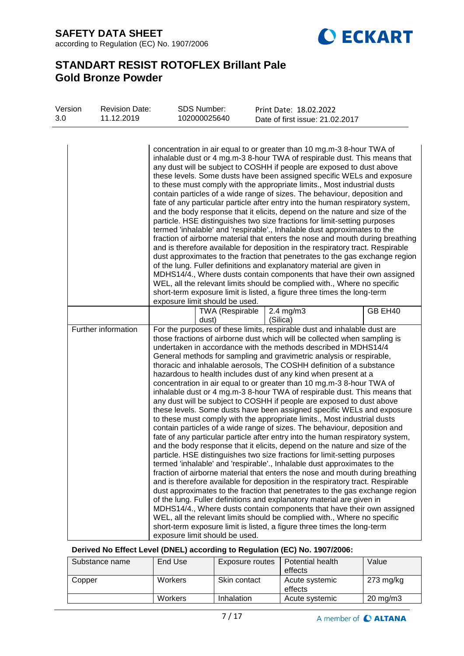**SAFETY DATA SHEET** according to Regulation (EC) No. 1907/2006



# **STANDART RESIST ROTOFLEX Brillant Pale Gold Bronze Powder**

| 3.0 | Version<br><b>Revision Date:</b><br>11.12.2019 |                     | <b>SDS Number:</b><br>102000025640 |                                 | Print Date: 18.02.2022<br>Date of first issue: 21.02.2017 |                                                                                                                                                                                                                                                                                                                                                                                                                                                                                                                                                                                                                                                                                                                                                                                                                                                                                                                                                                                                                                                                                                                                                                                                                                                                                                                                                                                                                                                                                                                                                                                                                                                                                                                                                                                                      |         |
|-----|------------------------------------------------|---------------------|------------------------------------|---------------------------------|-----------------------------------------------------------|------------------------------------------------------------------------------------------------------------------------------------------------------------------------------------------------------------------------------------------------------------------------------------------------------------------------------------------------------------------------------------------------------------------------------------------------------------------------------------------------------------------------------------------------------------------------------------------------------------------------------------------------------------------------------------------------------------------------------------------------------------------------------------------------------------------------------------------------------------------------------------------------------------------------------------------------------------------------------------------------------------------------------------------------------------------------------------------------------------------------------------------------------------------------------------------------------------------------------------------------------------------------------------------------------------------------------------------------------------------------------------------------------------------------------------------------------------------------------------------------------------------------------------------------------------------------------------------------------------------------------------------------------------------------------------------------------------------------------------------------------------------------------------------------------|---------|
|     |                                                |                     |                                    | exposure limit should be used.  |                                                           | concentration in air equal to or greater than 10 mg.m-3 8-hour TWA of<br>inhalable dust or 4 mg.m-3 8-hour TWA of respirable dust. This means that<br>any dust will be subject to COSHH if people are exposed to dust above<br>these levels. Some dusts have been assigned specific WELs and exposure<br>to these must comply with the appropriate limits., Most industrial dusts<br>contain particles of a wide range of sizes. The behaviour, deposition and<br>fate of any particular particle after entry into the human respiratory system,<br>and the body response that it elicits, depend on the nature and size of the<br>particle. HSE distinguishes two size fractions for limit-setting purposes<br>termed 'inhalable' and 'respirable'., Inhalable dust approximates to the<br>fraction of airborne material that enters the nose and mouth during breathing<br>and is therefore available for deposition in the respiratory tract. Respirable<br>dust approximates to the fraction that penetrates to the gas exchange region<br>of the lung. Fuller definitions and explanatory material are given in<br>MDHS14/4., Where dusts contain components that have their own assigned<br>WEL, all the relevant limits should be complied with., Where no specific<br>short-term exposure limit is listed, a figure three times the long-term                                                                                                                                                                                                                                                                                                                                                                                                                                                |         |
|     |                                                |                     |                                    | <b>TWA (Respirable</b><br>dust) |                                                           | 2.4 mg/m3<br>(Silica)                                                                                                                                                                                                                                                                                                                                                                                                                                                                                                                                                                                                                                                                                                                                                                                                                                                                                                                                                                                                                                                                                                                                                                                                                                                                                                                                                                                                                                                                                                                                                                                                                                                                                                                                                                                | GB EH40 |
|     |                                                | Further information |                                    | exposure limit should be used.  |                                                           | For the purposes of these limits, respirable dust and inhalable dust are<br>those fractions of airborne dust which will be collected when sampling is<br>undertaken in accordance with the methods described in MDHS14/4<br>General methods for sampling and gravimetric analysis or respirable,<br>thoracic and inhalable aerosols, The COSHH definition of a substance<br>hazardous to health includes dust of any kind when present at a<br>concentration in air equal to or greater than 10 mg.m-3 8-hour TWA of<br>inhalable dust or 4 mg.m-3 8-hour TWA of respirable dust. This means that<br>any dust will be subject to COSHH if people are exposed to dust above<br>these levels. Some dusts have been assigned specific WELs and exposure<br>to these must comply with the appropriate limits., Most industrial dusts<br>contain particles of a wide range of sizes. The behaviour, deposition and<br>fate of any particular particle after entry into the human respiratory system,<br>and the body response that it elicits, depend on the nature and size of the<br>particle. HSE distinguishes two size fractions for limit-setting purposes<br>termed 'inhalable' and 'respirable'., Inhalable dust approximates to the<br>fraction of airborne material that enters the nose and mouth during breathing<br>and is therefore available for deposition in the respiratory tract. Respirable<br>dust approximates to the fraction that penetrates to the gas exchange region<br>of the lung. Fuller definitions and explanatory material are given in<br>MDHS14/4., Where dusts contain components that have their own assigned<br>WEL, all the relevant limits should be complied with., Where no specific<br>short-term exposure limit is listed, a figure three times the long-term |         |

## **Derived No Effect Level (DNEL) according to Regulation (EC) No. 1907/2006:**

| Substance name | End Use        | Exposure routes | Potential health<br>effects | Value               |
|----------------|----------------|-----------------|-----------------------------|---------------------|
| Copper         | <b>Workers</b> | Skin contact    | Acute systemic<br>effects   | $273 \text{ mg/kg}$ |
|                | <b>Workers</b> | Inhalation      | Acute systemic              | $20 \text{ mg/m}$   |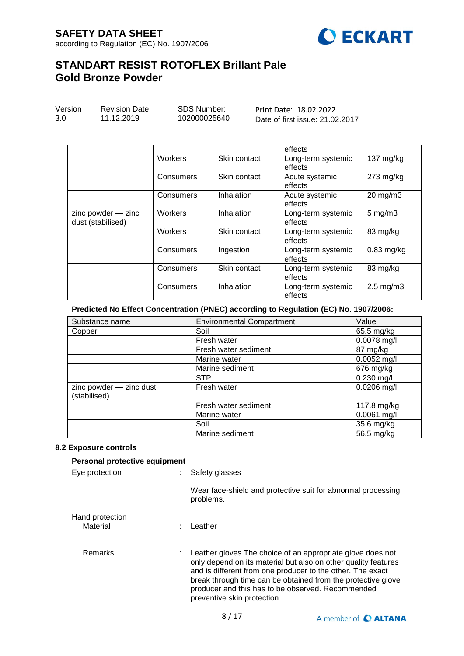

| <b>Revision Date:</b><br>Version<br>3.0<br>11.12.2019 |  |                | <b>SDS Number:</b><br>102000025640 |  | Print Date: 18.02.2022<br>Date of first issue: 21.02.2017 |           |  |
|-------------------------------------------------------|--|----------------|------------------------------------|--|-----------------------------------------------------------|-----------|--|
|                                                       |  |                |                                    |  | effects                                                   |           |  |
|                                                       |  | <b>Workers</b> | Skin contact                       |  | Long-term systemic                                        | 137 mg/kg |  |

|                                             |           |              | effects                       |                      |
|---------------------------------------------|-----------|--------------|-------------------------------|----------------------|
|                                             | Consumers | Skin contact | Acute systemic<br>effects     | $273$ mg/kg          |
|                                             | Consumers | Inhalation   | Acute systemic<br>effects     | 20 mg/m3             |
| $zinc$ powder $-$ zinc<br>dust (stabilised) | Workers   | Inhalation   | Long-term systemic<br>effects | $5 \text{ mg/m}$ 3   |
|                                             | Workers   | Skin contact | Long-term systemic<br>effects | 83 mg/kg             |
|                                             | Consumers | Ingestion    | Long-term systemic<br>effects | $0.83$ mg/kg         |
|                                             | Consumers | Skin contact | Long-term systemic<br>effects | 83 mg/kg             |
|                                             | Consumers | Inhalation   | Long-term systemic<br>effects | $2.5 \text{ mg/m}$ 3 |

## **Predicted No Effect Concentration (PNEC) according to Regulation (EC) No. 1907/2006:**

| Substance name                          | <b>Environmental Compartment</b><br>Value |               |  |
|-----------------------------------------|-------------------------------------------|---------------|--|
| Copper                                  | Soil                                      | 65.5 mg/kg    |  |
|                                         | Fresh water                               | 0.0078 mg/l   |  |
|                                         | Fresh water sediment                      | 87 mg/kg      |  |
|                                         | Marine water                              | $0.0052$ mg/l |  |
|                                         | Marine sediment                           | 676 mg/kg     |  |
|                                         | <b>STP</b>                                | $0.230$ mg/l  |  |
| zinc powder - zinc dust<br>(stabilised) | Fresh water                               | $0.0206$ mg/l |  |
|                                         | Fresh water sediment                      | 117.8 mg/kg   |  |
|                                         | Marine water                              | $0.0061$ mg/l |  |
|                                         | Soil                                      | 35.6 mg/kg    |  |
|                                         | Marine sediment                           | 56.5 mg/kg    |  |

### **8.2 Exposure controls**

| Personal protective equipment |                                                                                                                                                                                                                                                                                                                                                 |
|-------------------------------|-------------------------------------------------------------------------------------------------------------------------------------------------------------------------------------------------------------------------------------------------------------------------------------------------------------------------------------------------|
| Eye protection                | Safety glasses                                                                                                                                                                                                                                                                                                                                  |
|                               | Wear face-shield and protective suit for abnormal processing<br>problems.                                                                                                                                                                                                                                                                       |
| Hand protection<br>Material   | Leather                                                                                                                                                                                                                                                                                                                                         |
| <b>Remarks</b>                | : Leather gloves The choice of an appropriate glove does not<br>only depend on its material but also on other quality features<br>and is different from one producer to the other. The exact<br>break through time can be obtained from the protective glove<br>producer and this has to be observed. Recommended<br>preventive skin protection |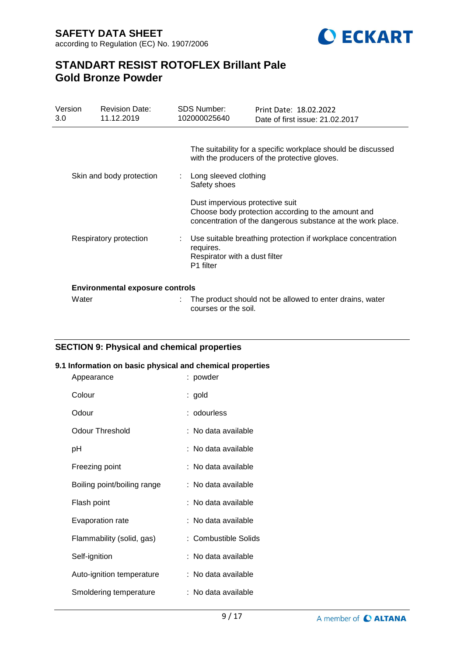**SAFETY DATA SHEET** according to Regulation (EC) No. 1907/2006



# **STANDART RESIST ROTOFLEX Brillant Pale Gold Bronze Powder**

| Version<br>3.0 | <b>Revision Date:</b><br>11.12.2019    | SDS Number:<br>102000025640           | Print Date: 18.02.2022<br>Date of first issue: 21.02.2017                                                                                            |
|----------------|----------------------------------------|---------------------------------------|------------------------------------------------------------------------------------------------------------------------------------------------------|
|                | Skin and body protection               | Long sleeved clothing<br>Safety shoes | The suitability for a specific workplace should be discussed<br>with the producers of the protective gloves.                                         |
|                |                                        |                                       | Dust impervious protective suit<br>Choose body protection according to the amount and<br>concentration of the dangerous substance at the work place. |
|                | Respiratory protection                 | requires.<br>P <sub>1</sub> filter    | Use suitable breathing protection if workplace concentration<br>Respirator with a dust filter                                                        |
|                | <b>Environmental exposure controls</b> |                                       |                                                                                                                                                      |
| Water          |                                        | courses or the soil.                  | The product should not be allowed to enter drains, water                                                                                             |

## **SECTION 9: Physical and chemical properties**

### **9.1 Information on basic physical and chemical properties**

| Appearance                  | : powder             |
|-----------------------------|----------------------|
| Colour                      | : gold               |
| Odour                       | : odourless          |
| <b>Odour Threshold</b>      | : No data available  |
| рH                          | : No data available  |
| Freezing point              | : No data available  |
| Boiling point/boiling range | : No data available  |
| Flash point                 | : No data available  |
| Evaporation rate            | : No data available  |
| Flammability (solid, gas)   | : Combustible Solids |
| Self-ignition               | : No data available  |
| Auto-ignition temperature   | : No data available  |
| Smoldering temperature      | : No data available  |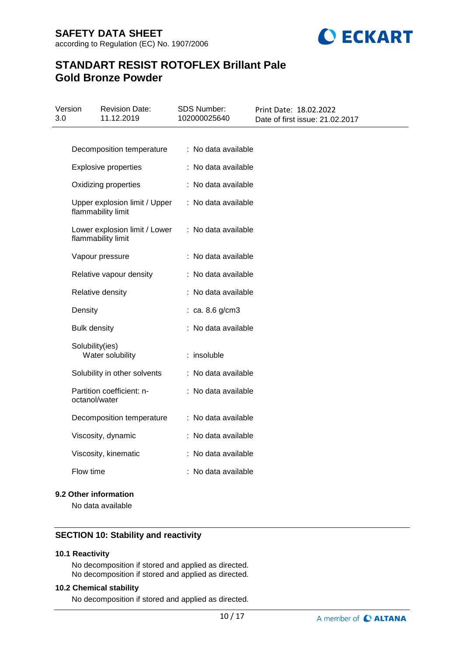

| 3.0 | Version             | <b>Revision Date:</b><br>11.12.2019                 | <b>SDS Number:</b><br>102000025640 | Print Date: 18.02.2022<br>Date of first issue: 21.02.2017 |
|-----|---------------------|-----------------------------------------------------|------------------------------------|-----------------------------------------------------------|
|     |                     |                                                     |                                    |                                                           |
|     |                     | Decomposition temperature                           | : No data available                |                                                           |
|     |                     | <b>Explosive properties</b>                         | : No data available                |                                                           |
|     |                     | Oxidizing properties                                | : No data available                |                                                           |
|     |                     | Upper explosion limit / Upper<br>flammability limit | : No data available                |                                                           |
|     |                     | Lower explosion limit / Lower<br>flammability limit | : No data available                |                                                           |
|     |                     | Vapour pressure                                     | : No data available                |                                                           |
|     |                     | Relative vapour density                             | : No data available                |                                                           |
|     |                     | Relative density                                    | : No data available                |                                                           |
|     | Density             |                                                     | : ca. 8.6 g/cm3                    |                                                           |
|     | <b>Bulk density</b> |                                                     | : No data available                |                                                           |
|     | Solubility(ies)     | Water solubility                                    | : insoluble                        |                                                           |
|     |                     | Solubility in other solvents                        | : No data available                |                                                           |
|     | octanol/water       | Partition coefficient: n-                           | : No data available                |                                                           |
|     |                     | Decomposition temperature                           | : No data available                |                                                           |
|     |                     | Viscosity, dynamic                                  | : No data available                |                                                           |
|     |                     | Viscosity, kinematic                                | : No data available                |                                                           |
|     | Flow time           |                                                     | : No data available                |                                                           |

### **9.2 Other information**

No data available

### **SECTION 10: Stability and reactivity**

### **10.1 Reactivity**

No decomposition if stored and applied as directed. No decomposition if stored and applied as directed.

### **10.2 Chemical stability**

No decomposition if stored and applied as directed.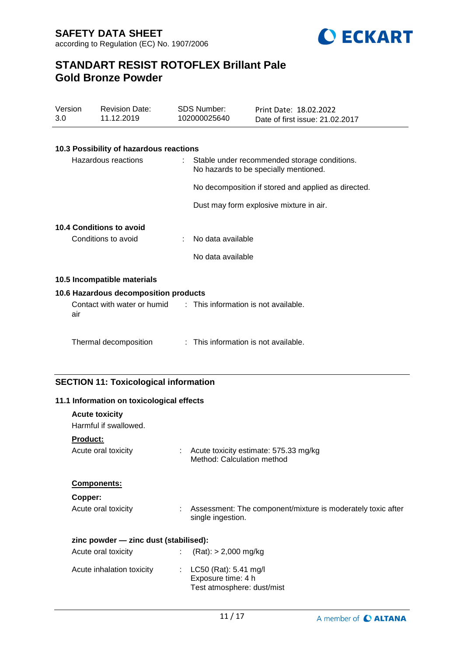

| Version<br>3.0 | <b>Revision Date:</b><br>11.12.2019          | <b>SDS Number:</b><br>102000025640   | Print Date: 18.02.2022<br>Date of first issue: 21.02.2017                             |
|----------------|----------------------------------------------|--------------------------------------|---------------------------------------------------------------------------------------|
|                | 10.3 Possibility of hazardous reactions      |                                      |                                                                                       |
|                | Hazardous reactions                          |                                      | Stable under recommended storage conditions.<br>No hazards to be specially mentioned. |
|                |                                              |                                      | No decomposition if stored and applied as directed.                                   |
|                |                                              |                                      | Dust may form explosive mixture in air.                                               |
|                | <b>10.4 Conditions to avoid</b>              |                                      |                                                                                       |
|                | Conditions to avoid                          | No data available                    |                                                                                       |
|                |                                              | No data available                    |                                                                                       |
|                | 10.5 Incompatible materials                  |                                      |                                                                                       |
|                | 10.6 Hazardous decomposition products        |                                      |                                                                                       |
| air            | Contact with water or humid                  | : This information is not available. |                                                                                       |
|                | Thermal decomposition                        | : This information is not available. |                                                                                       |
|                | <b>SECTION 11: Toxicological information</b> |                                      |                                                                                       |
|                | 11.1 Information on toxicological effects    |                                      |                                                                                       |
|                | <b>Acute toxicity</b>                        |                                      |                                                                                       |
|                | Harmful if swallowed.                        |                                      |                                                                                       |
| Product:       |                                              |                                      |                                                                                       |
|                | Acute oral toxicity                          | Method: Calculation method           | Acute toxicity estimate: 575.33 mg/kg                                                 |

## **Components:**

| opper: |
|--------|
|        |
|        |

| Acute oral toxicity | Assessment: The component/mixture is moderately toxic after<br>single ingestion. |
|---------------------|----------------------------------------------------------------------------------|
|                     |                                                                                  |

## **zinc powder — zinc dust (stabilised):**

| Acute oral toxicity       | $(Rat):$ > 2,000 mg/kg                                                        |
|---------------------------|-------------------------------------------------------------------------------|
| Acute inhalation toxicity | : $LC50$ (Rat): 5.41 mg/l<br>Exposure time: 4 h<br>Test atmosphere: dust/mist |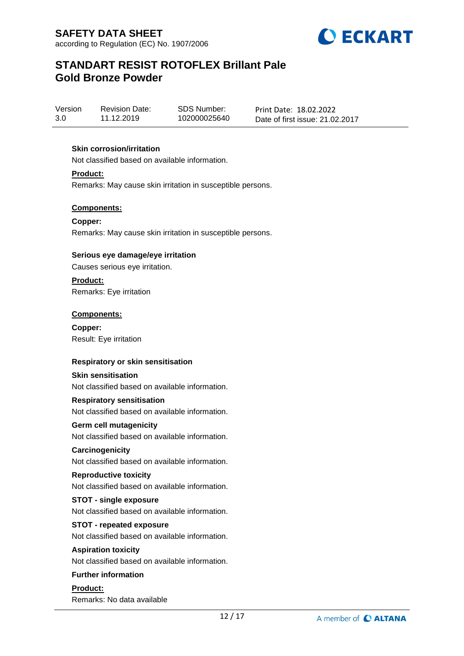

Version 3.0 Revision Date: 11.12.2019

SDS Number: 102000025640 Print Date: 18.02.2022 Date of first issue: 21.02.2017

## **Skin corrosion/irritation**

Not classified based on available information.

**Product:**

Remarks: May cause skin irritation in susceptible persons.

## **Components:**

**Copper:** Remarks: May cause skin irritation in susceptible persons.

### **Serious eye damage/eye irritation**

Causes serious eye irritation.

**Product:**

Remarks: Eye irritation

### **Components:**

**Copper:** Result: Eye irritation

## **Respiratory or skin sensitisation**

#### **Skin sensitisation**

Not classified based on available information.

#### **Respiratory sensitisation**

Not classified based on available information.

#### **Germ cell mutagenicity**

Not classified based on available information.

#### **Carcinogenicity**

Not classified based on available information.

#### **Reproductive toxicity**

Not classified based on available information.

#### **STOT - single exposure**

Not classified based on available information.

## **STOT - repeated exposure**

Not classified based on available information.

#### **Aspiration toxicity**

Not classified based on available information.

#### **Further information**

**Product:** Remarks: No data available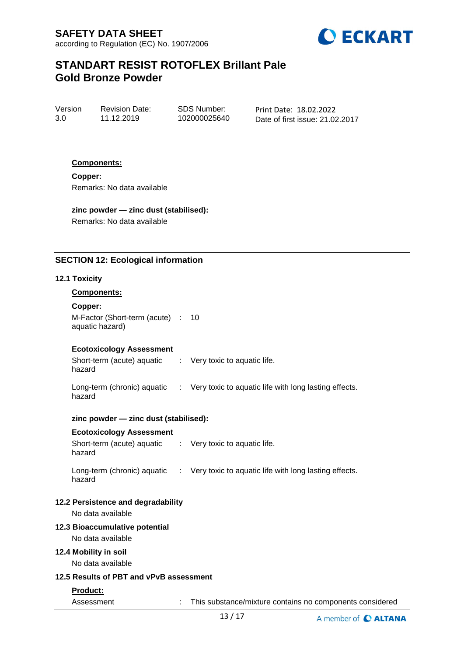

Version 3.0 Revision Date: 11.12.2019

SDS Number: 102000025640

Print Date: 18.02.2022 Date of first issue: 21.02.2017

### **Components:**

**Copper:** Remarks: No data available

## **zinc powder — zinc dust (stabilised):**

Remarks: No data available

## **SECTION 12: Ecological information**

#### **12.1 Toxicity**

#### **Components:**

**Copper:**

hazard

M-Factor (Short-term (acute) : 10 aquatic hazard)

#### **Ecotoxicology Assessment**

Short-term (acute) aquatic : Very toxic to aquatic life.

Long-term (chronic) aquatic hazard : Very toxic to aquatic life with long lasting effects.

#### **zinc powder — zinc dust (stabilised):**

#### **Ecotoxicology Assessment**

Short-term (acute) aquatic hazard : Very toxic to aquatic life. Long-term (chronic) aquatic : Very toxic to aquatic life with long lasting effects.

#### hazard

#### **12.2 Persistence and degradability**

No data available

#### **12.3 Bioaccumulative potential**

No data available

### **12.4 Mobility in soil**

No data available

## **12.5 Results of PBT and vPvB assessment**

#### **Product:**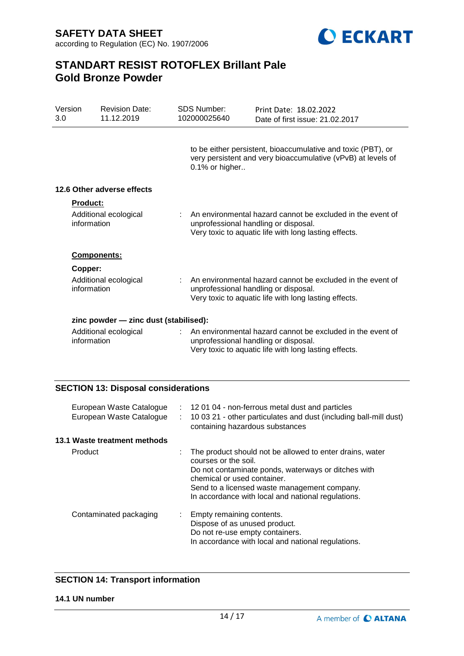**SAFETY DATA SHEET** according to Regulation (EC) No. 1907/2006



# **STANDART RESIST ROTOFLEX Brillant Pale Gold Bronze Powder**

| Version<br>3.0 | <b>Revision Date:</b><br>11.12.2019   | <b>SDS Number:</b><br>102000025640 | Print Date: 18.02.2022<br>Date of first issue: 21.02.2017                                                                                                     |
|----------------|---------------------------------------|------------------------------------|---------------------------------------------------------------------------------------------------------------------------------------------------------------|
|                |                                       | 0.1% or higher                     | to be either persistent, bioaccumulative and toxic (PBT), or<br>very persistent and very bioaccumulative (vPvB) at levels of                                  |
|                | 12.6 Other adverse effects            |                                    |                                                                                                                                                               |
| Product:       |                                       |                                    |                                                                                                                                                               |
| information    | Additional ecological                 |                                    | An environmental hazard cannot be excluded in the event of<br>unprofessional handling or disposal.<br>Very toxic to aquatic life with long lasting effects.   |
|                | <b>Components:</b>                    |                                    |                                                                                                                                                               |
| Copper:        |                                       |                                    |                                                                                                                                                               |
| information    | Additional ecological                 |                                    | : An environmental hazard cannot be excluded in the event of<br>unprofessional handling or disposal.<br>Very toxic to aquatic life with long lasting effects. |
|                | zinc powder - zinc dust (stabilised): |                                    |                                                                                                                                                               |
| information    | Additional ecological                 |                                    | An environmental hazard cannot be excluded in the event of<br>unprofessional handling or disposal.<br>Very toxic to aquatic life with long lasting effects.   |

## **SECTION 13: Disposal considerations**

| European Waste Catalogue<br>European Waste Catalogue | ÷. | : 12 01 04 - non-ferrous metal dust and particles<br>10 03 21 - other particulates and dust (including ball-mill dust)<br>containing hazardous substances                                                                                                                    |
|------------------------------------------------------|----|------------------------------------------------------------------------------------------------------------------------------------------------------------------------------------------------------------------------------------------------------------------------------|
| 13.1 Waste treatment methods                         |    |                                                                                                                                                                                                                                                                              |
| Product                                              |    | The product should not be allowed to enter drains, water<br>courses or the soil.<br>Do not contaminate ponds, waterways or ditches with<br>chemical or used container.<br>Send to a licensed waste management company.<br>In accordance with local and national regulations. |
| Contaminated packaging                               | ÷. | Empty remaining contents.<br>Dispose of as unused product.<br>Do not re-use empty containers.<br>In accordance with local and national regulations.                                                                                                                          |

## **SECTION 14: Transport information**

#### **14.1 UN number**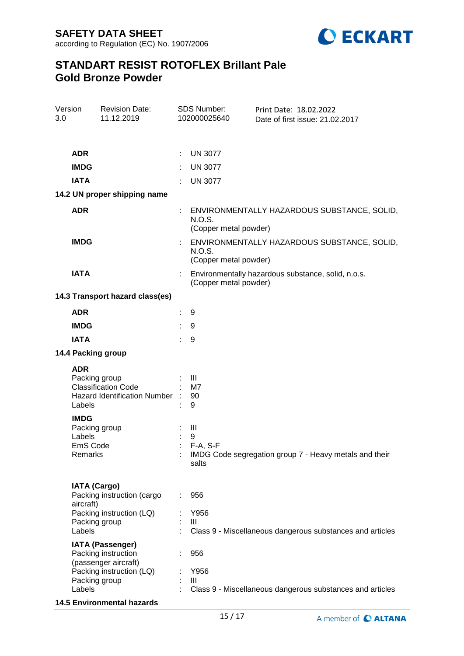

| Version<br>3.0 |                                                               | <b>Revision Date:</b><br>11.12.2019                                    |   | SDS Number:<br>102000025640     | Print Date: 18.02.2022<br>Date of first issue: 21.02.2017 |
|----------------|---------------------------------------------------------------|------------------------------------------------------------------------|---|---------------------------------|-----------------------------------------------------------|
|                |                                                               |                                                                        |   |                                 |                                                           |
|                | <b>ADR</b>                                                    |                                                                        | ÷ | <b>UN 3077</b>                  |                                                           |
|                | <b>IMDG</b>                                                   |                                                                        |   | <b>UN 3077</b>                  |                                                           |
|                | <b>IATA</b>                                                   |                                                                        |   | <b>UN 3077</b>                  |                                                           |
|                |                                                               | 14.2 UN proper shipping name                                           |   |                                 |                                                           |
|                | <b>ADR</b>                                                    |                                                                        |   | N.O.S.<br>(Copper metal powder) | ENVIRONMENTALLY HAZARDOUS SUBSTANCE, SOLID,               |
|                | <b>IMDG</b>                                                   |                                                                        |   | N.O.S.<br>(Copper metal powder) | ENVIRONMENTALLY HAZARDOUS SUBSTANCE, SOLID,               |
|                | <b>IATA</b>                                                   |                                                                        |   | (Copper metal powder)           | Environmentally hazardous substance, solid, n.o.s.        |
|                |                                                               | 14.3 Transport hazard class(es)                                        |   |                                 |                                                           |
|                | <b>ADR</b>                                                    |                                                                        |   | 9                               |                                                           |
|                | <b>IMDG</b>                                                   |                                                                        |   | 9                               |                                                           |
|                | <b>IATA</b>                                                   |                                                                        |   | 9                               |                                                           |
|                |                                                               | 14.4 Packing group                                                     |   |                                 |                                                           |
|                | <b>ADR</b><br>Packing group<br>Labels                         | <b>Classification Code</b><br>Hazard Identification Number :           |   | Ш<br>M7<br>90<br>9              |                                                           |
|                | <b>IMDG</b><br>Packing group<br>Labels<br>EmS Code<br>Remarks |                                                                        |   | Ш<br>9<br>$F-A, S-F$<br>salts   | IMDG Code segregation group 7 - Heavy metals and their    |
|                | <b>IATA (Cargo)</b><br>aircraft)                              | Packing instruction (cargo                                             |   | 956                             |                                                           |
|                | Packing group<br>Labels                                       | Packing instruction (LQ)                                               |   | Y956<br>Ш                       | Class 9 - Miscellaneous dangerous substances and articles |
|                |                                                               | <b>IATA (Passenger)</b><br>Packing instruction<br>(passenger aircraft) |   | 956                             |                                                           |
|                | Packing group<br>Labels                                       | Packing instruction (LQ)                                               |   | Y956<br>III                     | Class 9 - Miscellaneous dangerous substances and articles |

**14.5 Environmental hazards**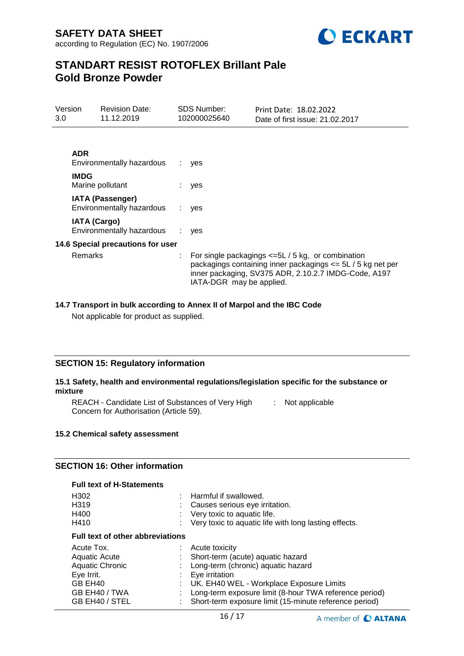

| 3.0 | Version<br><b>Revision Date:</b><br>11.12.2019 |                                                      | <b>SDS Number:</b><br>102000025640 | Print Date: 18.02.2022<br>Date of first issue: 21.02.2017                                                                                                                   |
|-----|------------------------------------------------|------------------------------------------------------|------------------------------------|-----------------------------------------------------------------------------------------------------------------------------------------------------------------------------|
|     |                                                |                                                      |                                    |                                                                                                                                                                             |
|     | <b>ADR</b>                                     | Environmentally hazardous                            | yes                                |                                                                                                                                                                             |
|     | <b>IMDG</b>                                    | Marine pollutant                                     | yes                                |                                                                                                                                                                             |
|     |                                                | <b>IATA (Passenger)</b><br>Environmentally hazardous | yes                                |                                                                                                                                                                             |
|     | <b>IATA (Cargo)</b>                            | Environmentally hazardous                            | yes                                |                                                                                                                                                                             |
|     |                                                | 14.6 Special precautions for user                    |                                    |                                                                                                                                                                             |
|     | <b>Remarks</b>                                 |                                                      | IATA-DGR may be applied.           | For single packagings $\leq 5L/5$ kg, or combination<br>packagings containing inner packagings <= 5L / 5 kg net per<br>inner packaging, SV375 ADR, 2.10.2.7 IMDG-Code, A197 |

### **14.7 Transport in bulk according to Annex II of Marpol and the IBC Code**

Not applicable for product as supplied.

## **SECTION 15: Regulatory information**

## **15.1 Safety, health and environmental regulations/legislation specific for the substance or mixture**

REACH - Candidate List of Substances of Very High [155] Not applicable Concern for Authorisation (Article 59).

#### **15.2 Chemical safety assessment**

## **SECTION 16: Other information**

| <b>Full text of H-Statements</b>                                                                                         |    |                                                                                                                                                                                                                                                                             |  |  |  |
|--------------------------------------------------------------------------------------------------------------------------|----|-----------------------------------------------------------------------------------------------------------------------------------------------------------------------------------------------------------------------------------------------------------------------------|--|--|--|
| H <sub>302</sub><br>H <sub>3</sub> 19                                                                                    |    | Harmful if swallowed.<br>Causes serious eye irritation.                                                                                                                                                                                                                     |  |  |  |
| H400<br>H410                                                                                                             |    | Very toxic to aquatic life.<br>Very toxic to aquatic life with long lasting effects.                                                                                                                                                                                        |  |  |  |
| <b>Full text of other abbreviations</b>                                                                                  |    |                                                                                                                                                                                                                                                                             |  |  |  |
| Acute Tox.<br><b>Aquatic Acute</b><br><b>Aquatic Chronic</b><br>Eye Irrit.<br>GB EH40<br>GB EH40 / TWA<br>GB EH40 / STEL | ÷. | Acute toxicity<br>Short-term (acute) aquatic hazard<br>Long-term (chronic) aquatic hazard<br>Eye irritation<br>UK. EH40 WEL - Workplace Exposure Limits<br>Long-term exposure limit (8-hour TWA reference period)<br>Short-term exposure limit (15-minute reference period) |  |  |  |